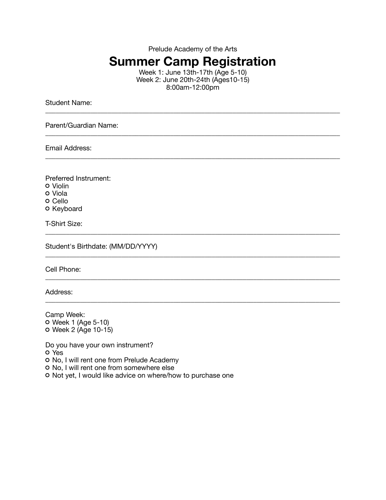Prelude Academy of the Arts

## **Summer Camp Registration**

Week 1: June 13th-17th (Age 5-10) Week 2: June 20th-24th (Ages10-15) 8:00am-12:00pm

\_\_\_\_\_\_\_\_\_\_\_\_\_\_\_\_\_\_\_\_\_\_\_\_\_\_\_\_\_\_\_\_\_\_\_\_\_\_\_\_\_\_\_\_\_\_\_\_\_\_\_\_\_\_\_\_\_\_\_\_\_\_\_\_\_\_\_\_\_\_\_\_\_\_\_\_\_\_\_\_\_\_\_\_\_

\_\_\_\_\_\_\_\_\_\_\_\_\_\_\_\_\_\_\_\_\_\_\_\_\_\_\_\_\_\_\_\_\_\_\_\_\_\_\_\_\_\_\_\_\_\_\_\_\_\_\_\_\_\_\_\_\_\_\_\_\_\_\_\_\_\_\_\_\_\_\_\_\_\_\_\_\_\_\_\_\_\_\_\_\_

\_\_\_\_\_\_\_\_\_\_\_\_\_\_\_\_\_\_\_\_\_\_\_\_\_\_\_\_\_\_\_\_\_\_\_\_\_\_\_\_\_\_\_\_\_\_\_\_\_\_\_\_\_\_\_\_\_\_\_\_\_\_\_\_\_\_\_\_\_\_\_\_\_\_\_\_\_\_\_\_\_\_\_\_\_

\_\_\_\_\_\_\_\_\_\_\_\_\_\_\_\_\_\_\_\_\_\_\_\_\_\_\_\_\_\_\_\_\_\_\_\_\_\_\_\_\_\_\_\_\_\_\_\_\_\_\_\_\_\_\_\_\_\_\_\_\_\_\_\_\_\_\_\_\_\_\_\_\_\_\_\_\_\_\_\_\_\_\_\_\_

\_\_\_\_\_\_\_\_\_\_\_\_\_\_\_\_\_\_\_\_\_\_\_\_\_\_\_\_\_\_\_\_\_\_\_\_\_\_\_\_\_\_\_\_\_\_\_\_\_\_\_\_\_\_\_\_\_\_\_\_\_\_\_\_\_\_\_\_\_\_\_\_\_\_\_\_\_\_\_\_\_\_\_\_\_

\_\_\_\_\_\_\_\_\_\_\_\_\_\_\_\_\_\_\_\_\_\_\_\_\_\_\_\_\_\_\_\_\_\_\_\_\_\_\_\_\_\_\_\_\_\_\_\_\_\_\_\_\_\_\_\_\_\_\_\_\_\_\_\_\_\_\_\_\_\_\_\_\_\_\_\_\_\_\_\_\_\_\_\_\_

\_\_\_\_\_\_\_\_\_\_\_\_\_\_\_\_\_\_\_\_\_\_\_\_\_\_\_\_\_\_\_\_\_\_\_\_\_\_\_\_\_\_\_\_\_\_\_\_\_\_\_\_\_\_\_\_\_\_\_\_\_\_\_\_\_\_\_\_\_\_\_\_\_\_\_\_\_\_\_\_\_\_\_\_\_

Student Name:

Parent/Guardian Name:

Email Address:

Preferred Instrument: Violin Viola o Cello o Keyboard

T-Shirt Size:

Student's Birthdate: (MM/DD/YYYY)

Cell Phone:

Address:

Camp Week: Week 1 (Age 5-10) Week 2 (Age 10-15)

Do you have your own instrument? Yes

o No, I will rent one from Prelude Academy

o No, I will rent one from somewhere else

o Not yet, I would like advice on where/how to purchase one